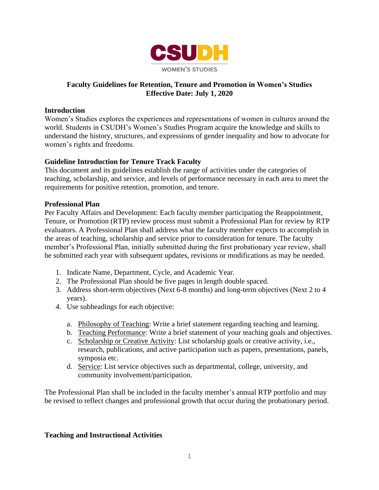

### **Faculty Guidelines for Retention, Tenure and Promotion in Women's Studies Effective Date: July 1, 2020**

#### **Introduction**

Women's Studies explores the experiences and representations of women in cultures around the world. Students in CSUDH's Women's Studies Program acquire the knowledge and skills to understand the history, structures, and expressions of gender inequality and how to advocate for women's rights and freedoms.

#### **Guideline Introduction for Tenure Track Faculty**

This document and its guidelines establish the range of activities under the categories of teaching, scholarship, and service, and levels of performance necessary in each area to meet the requirements for positive retention, promotion, and tenure.

#### **Professional Plan**

Per Faculty Affairs and Development: Each faculty member participating the Reappointment, Tenure, or Promotion (RTP) review process must submit a Professional Plan for review by RTP evaluators. A Professional Plan shall address what the faculty member expects to accomplish in the areas of teaching, scholarship and service prior to consideration for tenure. The faculty member's Professional Plan, initially submitted during the first probationary year review, shall be submitted each year with subsequent updates, revisions or modifications as may be needed.

- 1. Indicate Name, Department, Cycle, and Academic Year.
- 2. The Professional Plan should be five pages in length double spaced.
- 3. Address short-term objectives (Next 6-8 months) and long-term objectives (Next 2 to 4 years).
- 4. Use subheadings for each objective:
	- a. Philosophy of Teaching: Write a brief statement regarding teaching and learning.
	- b. Teaching Performance: Write a brief statement of your teaching goals and objectives.
	- c. Scholarship or Creative Activity: List scholarship goals or creative activity, i.e., research, publications, and active participation such as papers, presentations, panels, symposia etc.
	- d. Service: List service objectives such as departmental, college, university, and community involvement/participation.

The Professional Plan shall be included in the faculty member's annual RTP portfolio and may be revised to reflect changes and professional growth that occur during the probationary period.

#### **Teaching and Instructional Activities**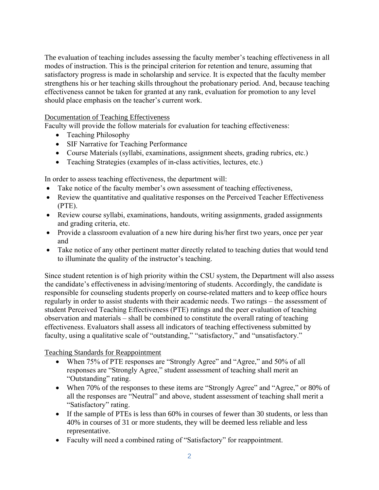The evaluation of teaching includes assessing the faculty member's teaching effectiveness in all modes of instruction. This is the principal criterion for retention and tenure, assuming that satisfactory progress is made in scholarship and service. It is expected that the faculty member strengthens his or her teaching skills throughout the probationary period. And, because teaching effectiveness cannot be taken for granted at any rank, evaluation for promotion to any level should place emphasis on the teacher's current work.

#### Documentation of Teaching Effectiveness

Faculty will provide the follow materials for evaluation for teaching effectiveness:

- Teaching Philosophy
- SIF Narrative for Teaching Performance
- Course Materials (syllabi, examinations, assignment sheets, grading rubrics, etc.)
- Teaching Strategies (examples of in-class activities, lectures, etc.)

In order to assess teaching effectiveness, the department will:

- Take notice of the faculty member's own assessment of teaching effectiveness,
- Review the quantitative and qualitative responses on the Perceived Teacher Effectiveness (PTE).
- Review course syllabi, examinations, handouts, writing assignments, graded assignments and grading criteria, etc.
- Provide a classroom evaluation of a new hire during his/her first two years, once per year and
- Take notice of any other pertinent matter directly related to teaching duties that would tend to illuminate the quality of the instructor's teaching.

Since student retention is of high priority within the CSU system, the Department will also assess the candidate's effectiveness in advising/mentoring of students. Accordingly, the candidate is responsible for counseling students properly on course-related matters and to keep office hours regularly in order to assist students with their academic needs. Two ratings – the assessment of student Perceived Teaching Effectiveness (PTE) ratings and the peer evaluation of teaching observation and materials – shall be combined to constitute the overall rating of teaching effectiveness. Evaluators shall assess all indicators of teaching effectiveness submitted by faculty, using a qualitative scale of "outstanding," "satisfactory," and "unsatisfactory."

Teaching Standards for Reappointment

- When 75% of PTE responses are "Strongly Agree" and "Agree," and 50% of all responses are "Strongly Agree," student assessment of teaching shall merit an "Outstanding" rating.
- all the responses are "Neutral" and above, student assessment of teaching shall merit a • When 70% of the responses to these items are "Strongly Agree" and "Agree," or 80% of "Satisfactory" rating.
- If the sample of PTEs is less than 60% in courses of fewer than 30 students, or less than 40% in courses of 31 or more students, they will be deemed less reliable and less representative.
- Faculty will need a combined rating of "Satisfactory" for reappointment.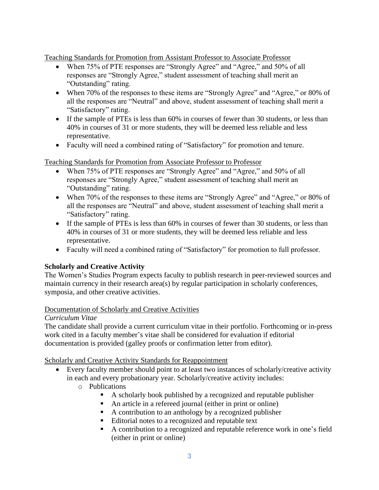Teaching Standards for Promotion from Assistant Professor to Associate Professor

- When 75% of PTE responses are "Strongly Agree" and "Agree," and 50% of all responses are "Strongly Agree," student assessment of teaching shall merit an "Outstanding" rating.
- all the responses are "Neutral" and above, student assessment of teaching shall merit a • When 70% of the responses to these items are "Strongly Agree" and "Agree," or 80% of "Satisfactory" rating.
- If the sample of PTEs is less than 60% in courses of fewer than 30 students, or less than 40% in courses of 31 or more students, they will be deemed less reliable and less representative.
- Faculty will need a combined rating of "Satisfactory" for promotion and tenure.

Teaching Standards for Promotion from Associate Professor to Professor

- When 75% of PTE responses are "Strongly Agree" and "Agree," and 50% of all responses are "Strongly Agree," student assessment of teaching shall merit an "Outstanding" rating.
- all the responses are "Neutral" and above, student assessment of teaching shall merit a • When 70% of the responses to these items are "Strongly Agree" and "Agree," or 80% of "Satisfactory" rating.
- If the sample of PTEs is less than 60% in courses of fewer than 30 students, or less than 40% in courses of 31 or more students, they will be deemed less reliable and less representative.
- Faculty will need a combined rating of "Satisfactory" for promotion to full professor.

# **Scholarly and Creative Activity**

The Women's Studies Program expects faculty to publish research in peer-reviewed sources and maintain currency in their research area(s) by regular participation in scholarly conferences, symposia, and other creative activities.

### Documentation of Scholarly and Creative Activities

### *Curriculum Vitae*

The candidate shall provide a current curriculum vitae in their portfolio. Forthcoming or in-press work cited in a faculty member's vitae shall be considered for evaluation if editorial documentation is provided (galley proofs or confirmation letter from editor).

### Scholarly and Creative Activity Standards for Reappointment

- • Every faculty member should point to at least two instances of scholarly/creative activity in each and every probationary year. Scholarly/creative activity includes:
	- o Publications
		- A scholarly book published by a recognized and reputable publisher
		- An article in a refereed journal (either in print or online)
		- A contribution to an anthology by a recognized publisher
		- Editorial notes to a recognized and reputable text
		- A contribution to a recognized and reputable reference work in one's field (either in print or online)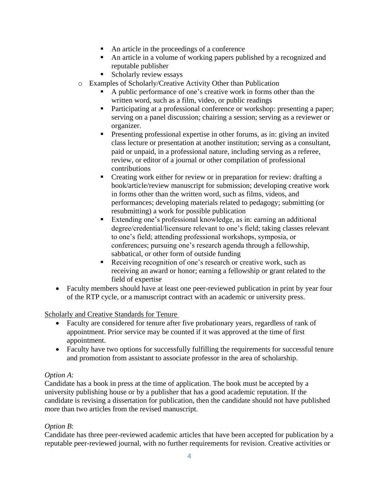- An article in the proceedings of a conference
- An article in a volume of working papers published by a recognized and reputable publisher
- Scholarly review essays
- o Examples of Scholarly/Creative Activity Other than Publication
	- A public performance of one's creative work in forms other than the written word, such as a film, video, or public readings
	- Participating at a professional conference or workshop: presenting a paper; serving on a panel discussion; chairing a session; serving as a reviewer or organizer.
	- **•** Presenting professional expertise in other forums, as in: giving an invited class lecture or presentation at another institution; serving as a consultant, paid or unpaid, in a professional nature, including serving as a referee, review, or editor of a journal or other compilation of professional contributions
	- Creating work either for review or in preparation for review: drafting a book/article/review manuscript for submission; developing creative work in forms other than the written word, such as films, videos, and performances; developing materials related to pedagogy; submitting (or resubmitting) a work for possible publication
	- Extending one's professional knowledge, as in: earning an additional degree/credential/licensure relevant to one's field; taking classes relevant to one's field; attending professional workshops, symposia, or conferences; pursuing one's research agenda through a fellowship, sabbatical, or other form of outside funding
	- Receiving recognition of one's research or creative work, such as receiving an award or honor; earning a fellowship or grant related to the field of expertise
- Faculty members should have at least one peer-reviewed publication in print by year four of the RTP cycle, or a manuscript contract with an academic or university press.

# Scholarly and Creative Standards for Tenure

- Faculty are considered for tenure after five probationary years, regardless of rank of appointment. Prior service may be counted if it was approved at the time of first appointment.
- Faculty have two options for successfully fulfilling the requirements for successful tenure and promotion from assistant to associate professor in the area of scholarship.

# *Option A*:

Candidate has a book in press at the time of application. The book must be accepted by a university publishing house or by a publisher that has a good academic reputation. If the candidate is revising a dissertation for publication, then the candidate should not have published more than two articles from the revised manuscript.

### *Option B*:

Candidate has three peer-reviewed academic articles that have been accepted for publication by a reputable peer-reviewed journal, with no further requirements for revision. Creative activities or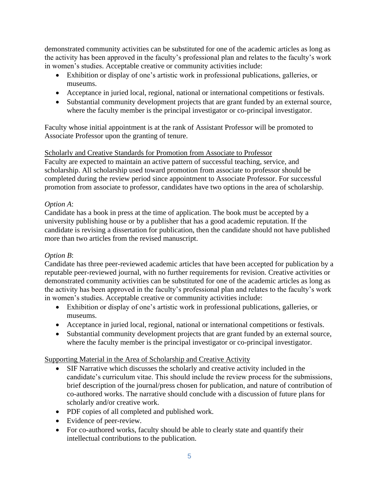demonstrated community activities can be substituted for one of the academic articles as long as the activity has been approved in the faculty's professional plan and relates to the faculty's work in women's studies. Acceptable creative or community activities include:

- Exhibition or display of one's artistic work in professional publications, galleries, or museums.
- Acceptance in juried local, regional, national or international competitions or festivals.
- Substantial community development projects that are grant funded by an external source, where the faculty member is the principal investigator or co-principal investigator.

Faculty whose initial appointment is at the rank of Assistant Professor will be promoted to Associate Professor upon the granting of tenure.

# Scholarly and Creative Standards for Promotion from Associate to Professor

Faculty are expected to maintain an active pattern of successful teaching, service, and scholarship. All scholarship used toward promotion from associate to professor should be completed during the review period since appointment to Associate Professor. For successful promotion from associate to professor, candidates have two options in the area of scholarship.

## *Option A*:

Candidate has a book in press at the time of application. The book must be accepted by a university publishing house or by a publisher that has a good academic reputation. If the candidate is revising a dissertation for publication, then the candidate should not have published more than two articles from the revised manuscript.

# *Option B*:

Candidate has three peer-reviewed academic articles that have been accepted for publication by a reputable peer-reviewed journal, with no further requirements for revision. Creative activities or demonstrated community activities can be substituted for one of the academic articles as long as the activity has been approved in the faculty's professional plan and relates to the faculty's work in women's studies. Acceptable creative or community activities include:

- Exhibition or display of one's artistic work in professional publications, galleries, or museums.
- Acceptance in juried local, regional, national or international competitions or festivals.
- Substantial community development projects that are grant funded by an external source, where the faculty member is the principal investigator or co-principal investigator.

# Supporting Material in the Area of Scholarship and Creative Activity

- SIF Narrative which discusses the scholarly and creative activity included in the candidate's curriculum vitae. This should include the review process for the submissions, brief description of the journal/press chosen for publication, and nature of contribution of co-authored works. The narrative should conclude with a discussion of future plans for scholarly and/or creative work.
- PDF copies of all completed and published work.
- Evidence of peer-review.
- For co-authored works, faculty should be able to clearly state and quantify their intellectual contributions to the publication.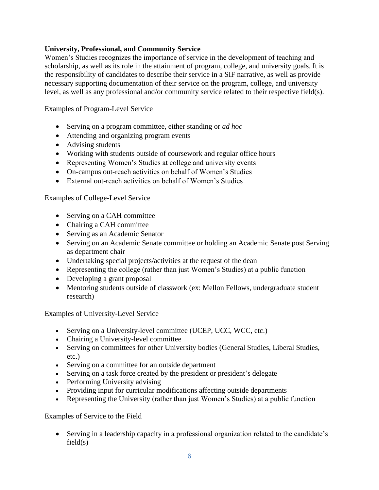### **University, Professional, and Community Service**

Women's Studies recognizes the importance of service in the development of teaching and scholarship, as well as its role in the attainment of program, college, and university goals. It is the responsibility of candidates to describe their service in a SIF narrative, as well as provide necessary supporting documentation of their service on the program, college, and university level, as well as any professional and/or community service related to their respective field(s).

Examples of Program-Level Service

- Serving on a program committee, either standing or *ad hoc*
- Attending and organizing program events
- Advising students
- Working with students outside of coursework and regular office hours
- Representing Women's Studies at college and university events
- On-campus out-reach activities on behalf of Women's Studies
- External out-reach activities on behalf of Women's Studies

Examples of College-Level Service

- Serving on a CAH committee
- Chairing a CAH committee
- Serving as an Academic Senator
- Serving on an Academic Senate committee or holding an Academic Senate post Serving as department chair
- Undertaking special projects/activities at the request of the dean
- Representing the college (rather than just Women's Studies) at a public function
- Developing a grant proposal
- Mentoring students outside of classwork (ex: Mellon Fellows, undergraduate student research)

Examples of University-Level Service

- Serving on a University-level committee (UCEP, UCC, WCC, etc.)
- Chairing a University-level committee
- Serving on committees for other University bodies (General Studies, Liberal Studies, etc.)
- Serving on a committee for an outside department
- Serving on a task force created by the president or president's delegate
- Performing University advising
- Providing input for curricular modifications affecting outside departments
- Representing the University (rather than just Women's Studies) at a public function

Examples of Service to the Field

• Serving in a leadership capacity in a professional organization related to the candidate's  $field(s)$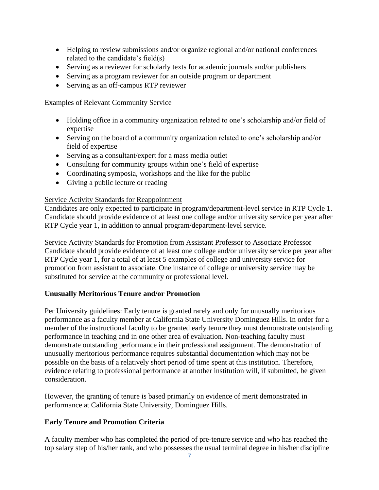- Helping to review submissions and/or organize regional and/or national conferences related to the candidate's field(s)
- Serving as a reviewer for scholarly texts for academic journals and/or publishers
- Serving as a program reviewer for an outside program or department
- Serving as an off-campus RTP reviewer

Examples of Relevant Community Service

- Holding office in a community organization related to one's scholarship and/or field of expertise
- Serving on the board of a community organization related to one's scholarship and/or field of expertise
- Serving as a consultant/expert for a mass media outlet
- Consulting for community groups within one's field of expertise
- Coordinating symposia, workshops and the like for the public
- Giving a public lecture or reading

### Service Activity Standards for Reappointment

Candidates are only expected to participate in program/department-level service in RTP Cycle 1. Candidate should provide evidence of at least one college and/or university service per year after RTP Cycle year 1, in addition to annual program/department-level service.

Service Activity Standards for Promotion from Assistant Professor to Associate Professor Candidate should provide evidence of at least one college and/or university service per year after RTP Cycle year 1, for a total of at least 5 examples of college and university service for promotion from assistant to associate. One instance of college or university service may be substituted for service at the community or professional level.

### **Unusually Meritorious Tenure and/or Promotion**

Per University guidelines: Early tenure is granted rarely and only for unusually meritorious performance as a faculty member at California State University Dominguez Hills. In order for a member of the instructional faculty to be granted early tenure they must demonstrate outstanding performance in teaching and in one other area of evaluation. Non-teaching faculty must demonstrate outstanding performance in their professional assignment. The demonstration of unusually meritorious performance requires substantial documentation which may not be possible on the basis of a relatively short period of time spent at this institution. Therefore, evidence relating to professional performance at another institution will, if submitted, be given consideration.

However, the granting of tenure is based primarily on evidence of merit demonstrated in performance at California State University, Dominguez Hills.

### **Early Tenure and Promotion Criteria**

A faculty member who has completed the period of pre-tenure service and who has reached the top salary step of his/her rank, and who possesses the usual terminal degree in his/her discipline